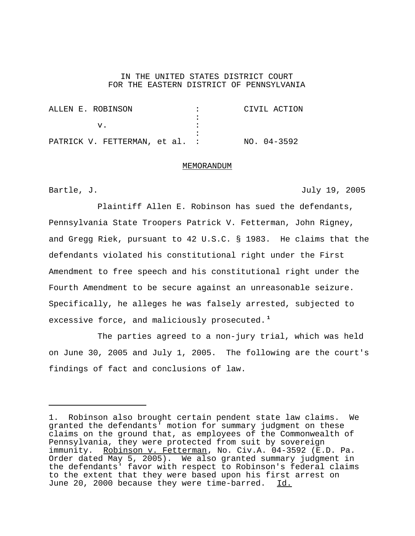## IN THE UNITED STATES DISTRICT COURT FOR THE EASTERN DISTRICT OF PENNSYLVANIA

|  |  |  | ALLEN E. ROBINSON              |  |  |  | CIVIL ACTION  |  |
|--|--|--|--------------------------------|--|--|--|---------------|--|
|  |  |  |                                |  |  |  |               |  |
|  |  |  |                                |  |  |  |               |  |
|  |  |  |                                |  |  |  |               |  |
|  |  |  | PATRICK V. FETTERMAN, et al. : |  |  |  | $NO. 04-3592$ |  |

## MEMORANDUM

Bartle, J. July 19, 2005

Plaintiff Allen E. Robinson has sued the defendants, Pennsylvania State Troopers Patrick V. Fetterman, John Rigney, and Gregg Riek, pursuant to 42 U.S.C. § 1983. He claims that the defendants violated his constitutional right under the First Amendment to free speech and his constitutional right under the Fourth Amendment to be secure against an unreasonable seizure. Specifically, he alleges he was falsely arrested, subjected to excessive force, and maliciously prosecuted. **<sup>1</sup>**

The parties agreed to a non-jury trial, which was held on June 30, 2005 and July 1, 2005. The following are the court's findings of fact and conclusions of law.

<sup>1.</sup> Robinson also brought certain pendent state law claims. We granted the defendants' motion for summary judgment on these claims on the ground that, as employees of the Commonwealth of Pennsylvania, they were protected from suit by sovereign immunity. Robinson v. Fetterman, No. Civ.A. 04-3592 (E.D. Pa. Order dated May 5, 2005). We also granted summary judgment in the defendants' favor with respect to Robinson's federal claims to the extent that they were based upon his first arrest on June 20, 2000 because they were time-barred. Id.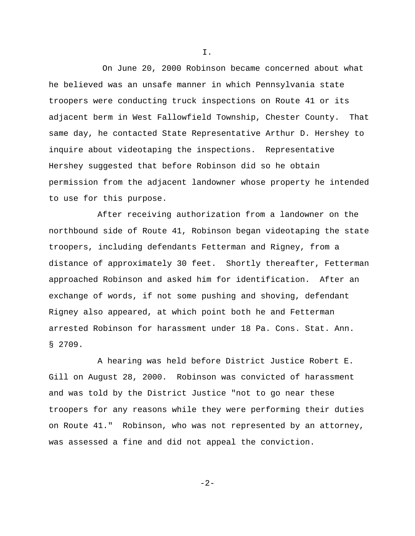On June 20, 2000 Robinson became concerned about what he believed was an unsafe manner in which Pennsylvania state troopers were conducting truck inspections on Route 41 or its adjacent berm in West Fallowfield Township, Chester County. That same day, he contacted State Representative Arthur D. Hershey to inquire about videotaping the inspections. Representative Hershey suggested that before Robinson did so he obtain permission from the adjacent landowner whose property he intended to use for this purpose.

After receiving authorization from a landowner on the northbound side of Route 41, Robinson began videotaping the state troopers, including defendants Fetterman and Rigney, from a distance of approximately 30 feet. Shortly thereafter, Fetterman approached Robinson and asked him for identification. After an exchange of words, if not some pushing and shoving, defendant Rigney also appeared, at which point both he and Fetterman arrested Robinson for harassment under 18 Pa. Cons. Stat. Ann. § 2709.

A hearing was held before District Justice Robert E. Gill on August 28, 2000. Robinson was convicted of harassment and was told by the District Justice "not to go near these troopers for any reasons while they were performing their duties on Route 41." Robinson, who was not represented by an attorney, was assessed a fine and did not appeal the conviction.

I.

$$
-2\,-
$$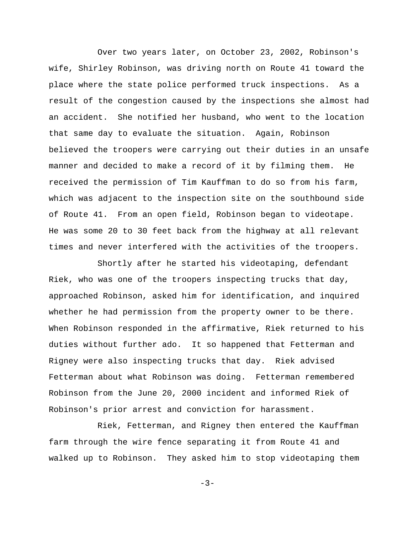Over two years later, on October 23, 2002, Robinson's wife, Shirley Robinson, was driving north on Route 41 toward the place where the state police performed truck inspections. As a result of the congestion caused by the inspections she almost had an accident. She notified her husband, who went to the location that same day to evaluate the situation. Again, Robinson believed the troopers were carrying out their duties in an unsafe manner and decided to make a record of it by filming them. He received the permission of Tim Kauffman to do so from his farm, which was adjacent to the inspection site on the southbound side of Route 41. From an open field, Robinson began to videotape. He was some 20 to 30 feet back from the highway at all relevant times and never interfered with the activities of the troopers.

Shortly after he started his videotaping, defendant Riek, who was one of the troopers inspecting trucks that day, approached Robinson, asked him for identification, and inquired whether he had permission from the property owner to be there. When Robinson responded in the affirmative, Riek returned to his duties without further ado. It so happened that Fetterman and Rigney were also inspecting trucks that day. Riek advised Fetterman about what Robinson was doing. Fetterman remembered Robinson from the June 20, 2000 incident and informed Riek of Robinson's prior arrest and conviction for harassment.

Riek, Fetterman, and Rigney then entered the Kauffman farm through the wire fence separating it from Route 41 and walked up to Robinson. They asked him to stop videotaping them

 $-3-$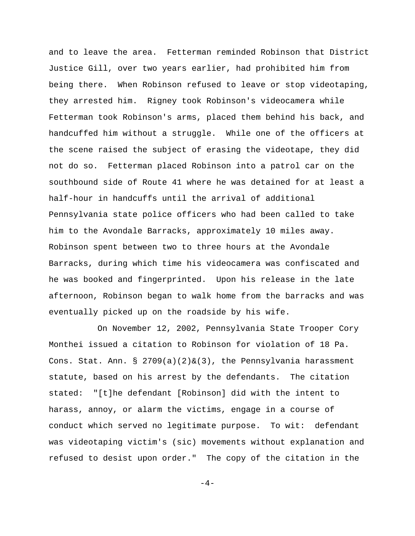and to leave the area. Fetterman reminded Robinson that District Justice Gill, over two years earlier, had prohibited him from being there. When Robinson refused to leave or stop videotaping, they arrested him. Rigney took Robinson's videocamera while Fetterman took Robinson's arms, placed them behind his back, and handcuffed him without a struggle. While one of the officers at the scene raised the subject of erasing the videotape, they did not do so. Fetterman placed Robinson into a patrol car on the southbound side of Route 41 where he was detained for at least a half-hour in handcuffs until the arrival of additional Pennsylvania state police officers who had been called to take him to the Avondale Barracks, approximately 10 miles away. Robinson spent between two to three hours at the Avondale Barracks, during which time his videocamera was confiscated and he was booked and fingerprinted. Upon his release in the late afternoon, Robinson began to walk home from the barracks and was eventually picked up on the roadside by his wife.

On November 12, 2002, Pennsylvania State Trooper Cory Monthei issued a citation to Robinson for violation of 18 Pa. Cons. Stat. Ann. §  $2709(a)(2) & (3)$ , the Pennsylvania harassment statute, based on his arrest by the defendants. The citation stated: "[t]he defendant [Robinson] did with the intent to harass, annoy, or alarm the victims, engage in a course of conduct which served no legitimate purpose. To wit: defendant was videotaping victim's (sic) movements without explanation and refused to desist upon order." The copy of the citation in the

 $-4-$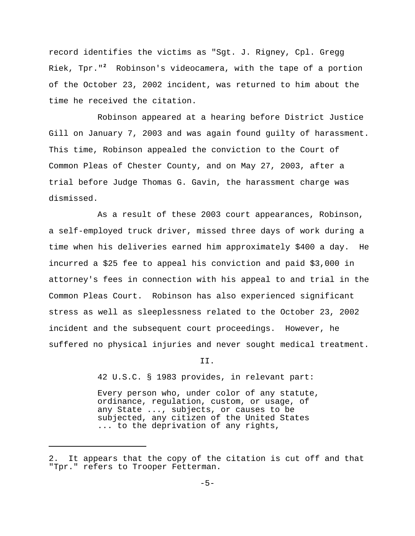record identifies the victims as "Sgt. J. Rigney, Cpl. Gregg Riek, Tpr."<sup>2</sup> Robinson's videocamera, with the tape of a portion of the October 23, 2002 incident, was returned to him about the time he received the citation.

Robinson appeared at a hearing before District Justice Gill on January 7, 2003 and was again found guilty of harassment. This time, Robinson appealed the conviction to the Court of Common Pleas of Chester County, and on May 27, 2003, after a trial before Judge Thomas G. Gavin, the harassment charge was dismissed.

As a result of these 2003 court appearances, Robinson, a self-employed truck driver, missed three days of work during a time when his deliveries earned him approximately \$400 a day. He incurred a \$25 fee to appeal his conviction and paid \$3,000 in attorney's fees in connection with his appeal to and trial in the Common Pleas Court. Robinson has also experienced significant stress as well as sleeplessness related to the October 23, 2002 incident and the subsequent court proceedings. However, he suffered no physical injuries and never sought medical treatment.

II.

42 U.S.C. § 1983 provides, in relevant part:

Every person who, under color of any statute, ordinance, regulation, custom, or usage, of any State ..., subjects, or causes to be subjected, any citizen of the United States ... to the deprivation of any rights,

<sup>2.</sup> It appears that the copy of the citation is cut off and that "Tpr." refers to Trooper Fetterman.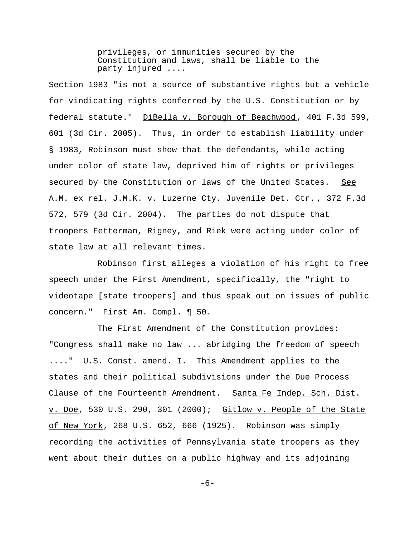privileges, or immunities secured by the Constitution and laws, shall be liable to the party injured ....

Section 1983 "is not a source of substantive rights but a vehicle for vindicating rights conferred by the U.S. Constitution or by federal statute." DiBella v. Borough of Beachwood, 401 F.3d 599, 601 (3d Cir. 2005). Thus, in order to establish liability under § 1983, Robinson must show that the defendants, while acting under color of state law, deprived him of rights or privileges secured by the Constitution or laws of the United States. See A.M. ex rel. J.M.K. v. Luzerne Cty. Juvenile Det. Ctr. , 372 F.3d 572, 579 (3d Cir. 2004). The parties do not dispute that troopers Fetterman, Rigney, and Riek were acting under color of state law at all relevant times.

Robinson first alleges a violation of his right to free speech under the First Amendment, specifically, the "right to videotape [state troopers] and thus speak out on issues of public concern." First Am. Compl. ¶ 50.

The First Amendment of the Constitution provides: "Congress shall make no law ... abridging the freedom of speech ...." U.S. Const. amend. I. This Amendment applies to the states and their political subdivisions under the Due Process Clause of the Fourteenth Amendment. Santa Fe Indep. Sch. Dist. v. Doe, 530 U.S. 290, 301 (2000); Gitlow v. People of the State of New York, 268 U.S. 652, 666 (1925). Robinson was simply recording the activities of Pennsylvania state troopers as they went about their duties on a public highway and its adjoining

-6-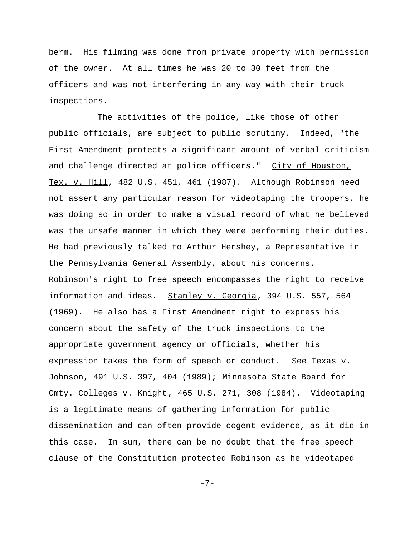berm. His filming was done from private property with permission of the owner. At all times he was 20 to 30 feet from the officers and was not interfering in any way with their truck inspections.

The activities of the police, like those of other public officials, are subject to public scrutiny. Indeed, "the First Amendment protects a significant amount of verbal criticism and challenge directed at police officers." City of Houston, Tex. v. Hill, 482 U.S. 451, 461 (1987). Although Robinson need not assert any particular reason for videotaping the troopers, he was doing so in order to make a visual record of what he believed was the unsafe manner in which they were performing their duties. He had previously talked to Arthur Hershey, a Representative in the Pennsylvania General Assembly, about his concerns. Robinson's right to free speech encompasses the right to receive information and ideas. Stanley v. Georgia, 394 U.S. 557, 564 (1969). He also has a First Amendment right to express his concern about the safety of the truck inspections to the appropriate government agency or officials, whether his expression takes the form of speech or conduct. See Texas v. Johnson, 491 U.S. 397, 404 (1989); Minnesota State Board for Cmty. Colleges v. Knight, 465 U.S. 271, 308 (1984). Videotaping is a legitimate means of gathering information for public dissemination and can often provide cogent evidence, as it did in this case. In sum, there can be no doubt that the free speech clause of the Constitution protected Robinson as he videotaped

-7-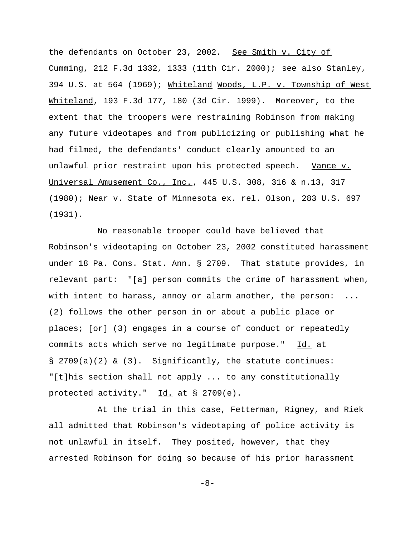the defendants on October 23, 2002. See Smith v. City of Cumming, 212 F.3d 1332, 1333 (11th Cir. 2000); see also Stanley, 394 U.S. at 564 (1969); Whiteland Woods, L.P. v. Township of West Whiteland, 193 F.3d 177, 180 (3d Cir. 1999). Moreover, to the extent that the troopers were restraining Robinson from making any future videotapes and from publicizing or publishing what he had filmed, the defendants' conduct clearly amounted to an unlawful prior restraint upon his protected speech. Vance v. Universal Amusement Co., Inc., 445 U.S. 308, 316 & n.13, 317 (1980); Near v. State of Minnesota ex. rel. Olson , 283 U.S. 697 (1931).

No reasonable trooper could have believed that Robinson's videotaping on October 23, 2002 constituted harassment under 18 Pa. Cons. Stat. Ann. § 2709. That statute provides, in relevant part: "[a] person commits the crime of harassment when, with intent to harass, annoy or alarm another, the person: (2) follows the other person in or about a public place or places; [or] (3) engages in a course of conduct or repeatedly commits acts which serve no legitimate purpose." Id. at § 2709(a)(2) & (3). Significantly, the statute continues: "[t]his section shall not apply ... to any constitutionally protected activity." Id. at § 2709(e).

At the trial in this case, Fetterman, Rigney, and Riek all admitted that Robinson's videotaping of police activity is not unlawful in itself. They posited, however, that they arrested Robinson for doing so because of his prior harassment

-8-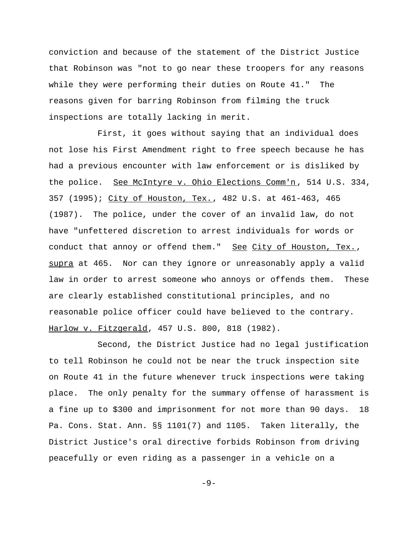conviction and because of the statement of the District Justice that Robinson was "not to go near these troopers for any reasons while they were performing their duties on Route 41." The reasons given for barring Robinson from filming the truck inspections are totally lacking in merit.

First, it goes without saying that an individual does not lose his First Amendment right to free speech because he has had a previous encounter with law enforcement or is disliked by the police. See McIntyre v. Ohio Elections Comm'n, 514 U.S. 334, 357 (1995); City of Houston, Tex., 482 U.S. at 461-463, 465 (1987). The police, under the cover of an invalid law, do not have "unfettered discretion to arrest individuals for words or conduct that annoy or offend them." See City of Houston, Tex., supra at 465. Nor can they ignore or unreasonably apply a valid law in order to arrest someone who annoys or offends them. These are clearly established constitutional principles, and no reasonable police officer could have believed to the contrary. Harlow v. Fitzgerald, 457 U.S. 800, 818 (1982).

Second, the District Justice had no legal justification to tell Robinson he could not be near the truck inspection site on Route 41 in the future whenever truck inspections were taking place. The only penalty for the summary offense of harassment is a fine up to \$300 and imprisonment for not more than 90 days. 18 Pa. Cons. Stat. Ann. §§ 1101(7) and 1105. Taken literally, the District Justice's oral directive forbids Robinson from driving peacefully or even riding as a passenger in a vehicle on a

-9-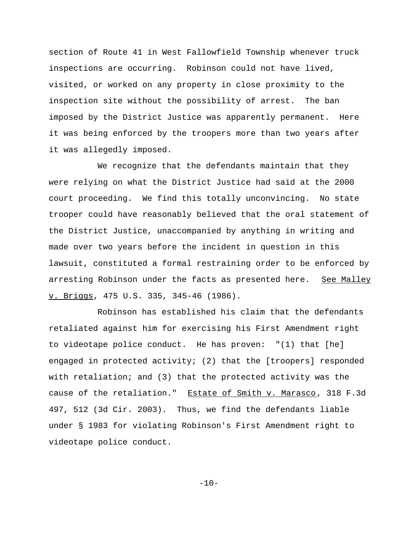section of Route 41 in West Fallowfield Township whenever truck inspections are occurring. Robinson could not have lived, visited, or worked on any property in close proximity to the inspection site without the possibility of arrest. The ban imposed by the District Justice was apparently permanent. Here it was being enforced by the troopers more than two years after it was allegedly imposed.

We recognize that the defendants maintain that they were relying on what the District Justice had said at the 2000 court proceeding. We find this totally unconvincing. No state trooper could have reasonably believed that the oral statement of the District Justice, unaccompanied by anything in writing and made over two years before the incident in question in this lawsuit, constituted a formal restraining order to be enforced by arresting Robinson under the facts as presented here. See Malley v. Briggs, 475 U.S. 335, 345-46 (1986).

Robinson has established his claim that the defendants retaliated against him for exercising his First Amendment right to videotape police conduct. He has proven: "(1) that [he] engaged in protected activity; (2) that the [troopers] responded with retaliation; and (3) that the protected activity was the cause of the retaliation." Estate of Smith v. Marasco, 318 F.3d 497, 512 (3d Cir. 2003). Thus, we find the defendants liable under § 1983 for violating Robinson's First Amendment right to videotape police conduct.

 $-10-$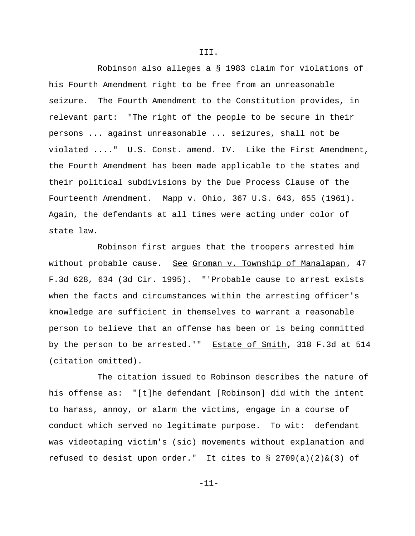Robinson also alleges a § 1983 claim for violations of his Fourth Amendment right to be free from an unreasonable seizure. The Fourth Amendment to the Constitution provides, in relevant part: "The right of the people to be secure in their persons ... against unreasonable ... seizures, shall not be violated ...." U.S. Const. amend. IV. Like the First Amendment, the Fourth Amendment has been made applicable to the states and their political subdivisions by the Due Process Clause of the Fourteenth Amendment. Mapp v. Ohio, 367 U.S. 643, 655 (1961). Again, the defendants at all times were acting under color of state law.

Robinson first argues that the troopers arrested him without probable cause. See Groman v. Township of Manalapan, 47 F.3d 628, 634 (3d Cir. 1995). "'Probable cause to arrest exists when the facts and circumstances within the arresting officer's knowledge are sufficient in themselves to warrant a reasonable person to believe that an offense has been or is being committed by the person to be arrested.'" Estate of Smith, 318 F.3d at 514 (citation omitted).

The citation issued to Robinson describes the nature of his offense as: "[t]he defendant [Robinson] did with the intent to harass, annoy, or alarm the victims, engage in a course of conduct which served no legitimate purpose. To wit: defendant was videotaping victim's (sic) movements without explanation and refused to desist upon order." It cites to  $\S$  2709(a)(2)&(3) of

III.

-11-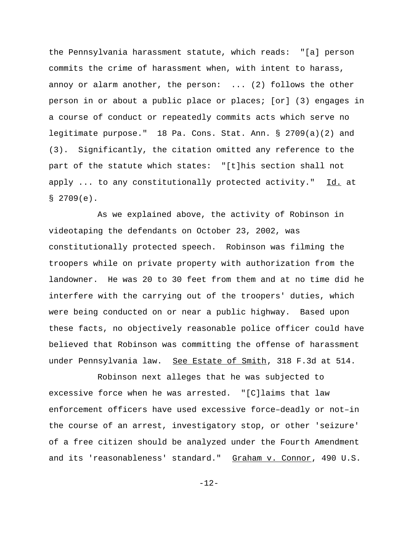the Pennsylvania harassment statute, which reads: "[a] person commits the crime of harassment when, with intent to harass, annoy or alarm another, the person: ... (2) follows the other person in or about a public place or places; [or] (3) engages in a course of conduct or repeatedly commits acts which serve no legitimate purpose." 18 Pa. Cons. Stat. Ann. § 2709(a)(2) and (3). Significantly, the citation omitted any reference to the part of the statute which states: "[t]his section shall not apply ... to any constitutionally protected activity." Id. at  $$2709(e)$ .

As we explained above, the activity of Robinson in videotaping the defendants on October 23, 2002, was constitutionally protected speech. Robinson was filming the troopers while on private property with authorization from the landowner. He was 20 to 30 feet from them and at no time did he interfere with the carrying out of the troopers' duties, which were being conducted on or near a public highway. Based upon these facts, no objectively reasonable police officer could have believed that Robinson was committing the offense of harassment under Pennsylvania law. See Estate of Smith, 318 F.3d at 514.

Robinson next alleges that he was subjected to excessive force when he was arrested. "[C]laims that law enforcement officers have used excessive force–deadly or not–in the course of an arrest, investigatory stop, or other 'seizure' of a free citizen should be analyzed under the Fourth Amendment and its 'reasonableness' standard." Graham v. Connor, 490 U.S.

-12-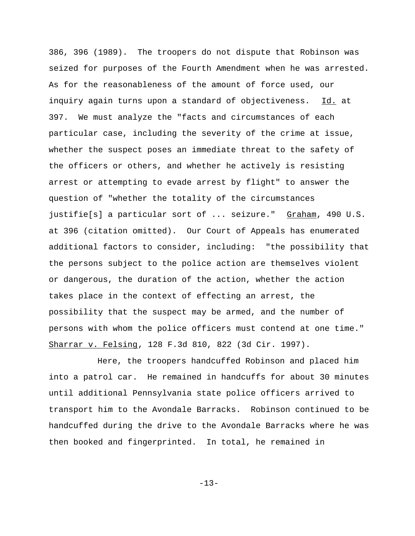386, 396 (1989). The troopers do not dispute that Robinson was seized for purposes of the Fourth Amendment when he was arrested. As for the reasonableness of the amount of force used, our inquiry again turns upon a standard of objectiveness. Id. at 397. We must analyze the "facts and circumstances of each particular case, including the severity of the crime at issue, whether the suspect poses an immediate threat to the safety of the officers or others, and whether he actively is resisting arrest or attempting to evade arrest by flight" to answer the question of "whether the totality of the circumstances justifie[s] a particular sort of ... seizure." Graham, 490 U.S. at 396 (citation omitted). Our Court of Appeals has enumerated additional factors to consider, including: "the possibility that the persons subject to the police action are themselves violent or dangerous, the duration of the action, whether the action takes place in the context of effecting an arrest, the possibility that the suspect may be armed, and the number of persons with whom the police officers must contend at one time." Sharrar v. Felsing, 128 F.3d 810, 822 (3d Cir. 1997).

Here, the troopers handcuffed Robinson and placed him into a patrol car. He remained in handcuffs for about 30 minutes until additional Pennsylvania state police officers arrived to transport him to the Avondale Barracks. Robinson continued to be handcuffed during the drive to the Avondale Barracks where he was then booked and fingerprinted. In total, he remained in

-13-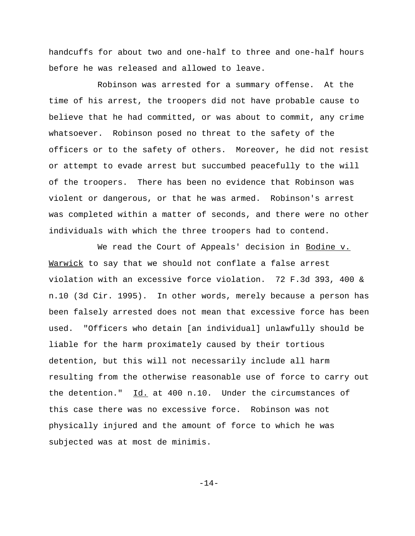handcuffs for about two and one-half to three and one-half hours before he was released and allowed to leave.

Robinson was arrested for a summary offense. At the time of his arrest, the troopers did not have probable cause to believe that he had committed, or was about to commit, any crime whatsoever. Robinson posed no threat to the safety of the officers or to the safety of others. Moreover, he did not resist or attempt to evade arrest but succumbed peacefully to the will of the troopers. There has been no evidence that Robinson was violent or dangerous, or that he was armed. Robinson's arrest was completed within a matter of seconds, and there were no other individuals with which the three troopers had to contend.

We read the Court of Appeals' decision in Bodine v. Warwick to say that we should not conflate a false arrest violation with an excessive force violation. 72 F.3d 393, 400 & n.10 (3d Cir. 1995). In other words, merely because a person has been falsely arrested does not mean that excessive force has been used. "Officers who detain [an individual] unlawfully should be liable for the harm proximately caused by their tortious detention, but this will not necessarily include all harm resulting from the otherwise reasonable use of force to carry out the detention."  $\underline{Id.}$  at 400 n.10. Under the circumstances of this case there was no excessive force. Robinson was not physically injured and the amount of force to which he was subjected was at most de minimis.

-14-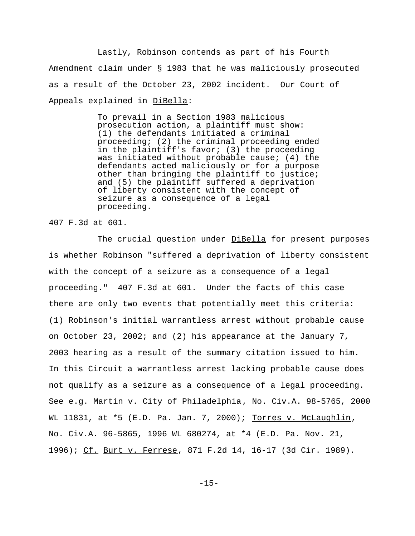Lastly, Robinson contends as part of his Fourth Amendment claim under § 1983 that he was maliciously prosecuted as a result of the October 23, 2002 incident. Our Court of Appeals explained in DiBella:

> To prevail in a Section 1983 malicious prosecution action, a plaintiff must show: (1) the defendants initiated a criminal proceeding; (2) the criminal proceeding ended in the plaintiff's favor; (3) the proceeding was initiated without probable cause; (4) the defendants acted maliciously or for a purpose other than bringing the plaintiff to justice; and (5) the plaintiff suffered a deprivation of liberty consistent with the concept of seizure as a consequence of a legal proceeding.

407 F.3d at 601.

The crucial question under DiBella for present purposes is whether Robinson "suffered a deprivation of liberty consistent with the concept of a seizure as a consequence of a legal proceeding." 407 F.3d at 601. Under the facts of this case there are only two events that potentially meet this criteria: (1) Robinson's initial warrantless arrest without probable cause on October 23, 2002; and (2) his appearance at the January 7, 2003 hearing as a result of the summary citation issued to him. In this Circuit a warrantless arrest lacking probable cause does not qualify as a seizure as a consequence of a legal proceeding. See e.g. Martin v. City of Philadelphia, No. Civ.A. 98-5765, 2000 WL 11831, at \*5 (E.D. Pa. Jan. 7, 2000); Torres v. McLaughlin, No. Civ.A. 96-5865, 1996 WL 680274, at \*4 (E.D. Pa. Nov. 21, 1996); Cf. Burt v. Ferrese, 871 F.2d 14, 16-17 (3d Cir. 1989).

-15-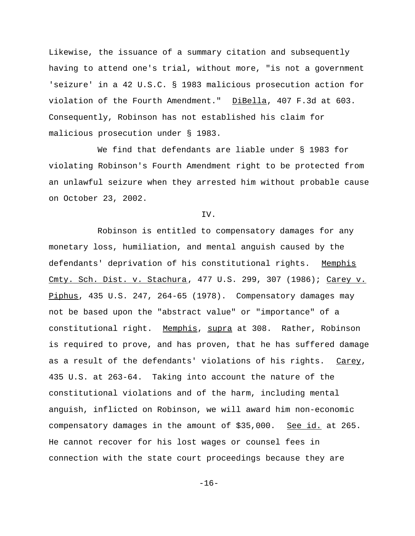Likewise, the issuance of a summary citation and subsequently having to attend one's trial, without more, "is not a government 'seizure' in a 42 U.S.C. § 1983 malicious prosecution action for violation of the Fourth Amendment." DiBella, 407 F.3d at 603. Consequently, Robinson has not established his claim for malicious prosecution under § 1983.

We find that defendants are liable under § 1983 for violating Robinson's Fourth Amendment right to be protected from an unlawful seizure when they arrested him without probable cause on October 23, 2002.

IV.

Robinson is entitled to compensatory damages for any monetary loss, humiliation, and mental anguish caused by the defendants' deprivation of his constitutional rights. Memphis Cmty. Sch. Dist. v. Stachura, 477 U.S. 299, 307 (1986); Carey v. Piphus, 435 U.S. 247, 264-65 (1978). Compensatory damages may not be based upon the "abstract value" or "importance" of a constitutional right. Memphis, supra at 308. Rather, Robinson is required to prove, and has proven, that he has suffered damage as a result of the defendants' violations of his rights. Carey, 435 U.S. at 263-64. Taking into account the nature of the constitutional violations and of the harm, including mental anguish, inflicted on Robinson, we will award him non-economic compensatory damages in the amount of \$35,000. See id. at 265. He cannot recover for his lost wages or counsel fees in connection with the state court proceedings because they are

-16-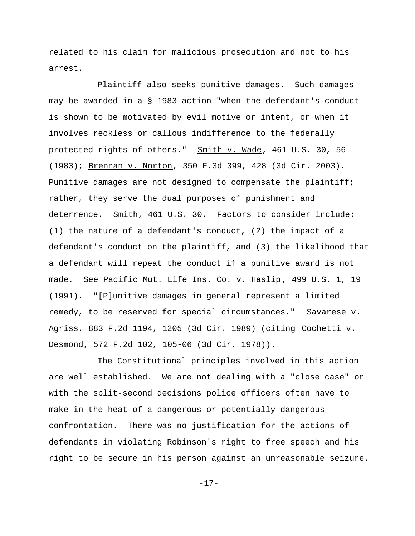related to his claim for malicious prosecution and not to his arrest.

Plaintiff also seeks punitive damages. Such damages may be awarded in a § 1983 action "when the defendant's conduct is shown to be motivated by evil motive or intent, or when it involves reckless or callous indifference to the federally protected rights of others." Smith v. Wade, 461 U.S. 30, 56 (1983); Brennan v. Norton, 350 F.3d 399, 428 (3d Cir. 2003). Punitive damages are not designed to compensate the plaintiff; rather, they serve the dual purposes of punishment and deterrence. Smith, 461 U.S. 30. Factors to consider include: (1) the nature of a defendant's conduct, (2) the impact of a defendant's conduct on the plaintiff, and (3) the likelihood that a defendant will repeat the conduct if a punitive award is not made. See Pacific Mut. Life Ins. Co. v. Haslip, 499 U.S. 1, 19 (1991). "[P]unitive damages in general represent a limited remedy, to be reserved for special circumstances." Savarese v. Agriss, 883 F.2d 1194, 1205 (3d Cir. 1989) (citing Cochetti v. Desmond, 572 F.2d 102, 105-06 (3d Cir. 1978)).

The Constitutional principles involved in this action are well established. We are not dealing with a "close case" or with the split-second decisions police officers often have to make in the heat of a dangerous or potentially dangerous confrontation. There was no justification for the actions of defendants in violating Robinson's right to free speech and his right to be secure in his person against an unreasonable seizure.

-17-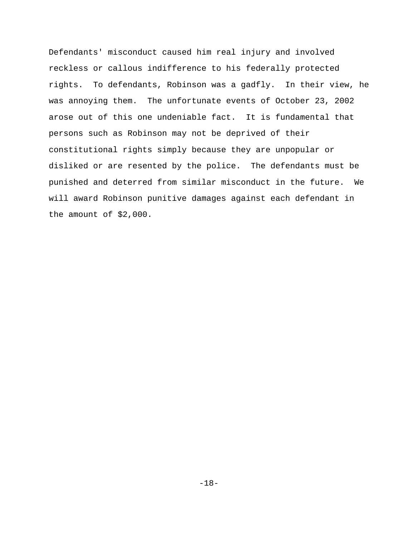Defendants' misconduct caused him real injury and involved reckless or callous indifference to his federally protected rights. To defendants, Robinson was a gadfly. In their view, he was annoying them. The unfortunate events of October 23, 2002 arose out of this one undeniable fact. It is fundamental that persons such as Robinson may not be deprived of their constitutional rights simply because they are unpopular or disliked or are resented by the police. The defendants must be punished and deterred from similar misconduct in the future. We will award Robinson punitive damages against each defendant in the amount of \$2,000.